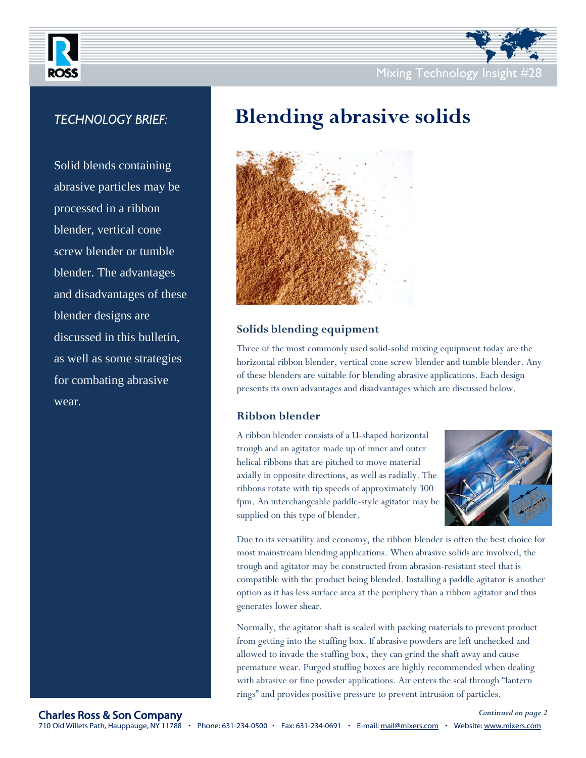

## *TECHNOLOGY BRIEF:*

Solid blends containing abrasive particles may be processed in a ribbon blender, vertical cone screw blender or tumble blender. The advantages and disadvantages of these blender designs are discussed in this bulletin, as well as some strategies for combating abrasive wear.



# **Blending abrasive solids**



## **Solids blending equipment**

Three of the most commonly used solid-solid mixing equipment today are the horizontal ribbon blender, vertical cone screw blender and tumble blender. Any of these blenders are suitable for blending abrasive applications. Each design presents its own advantages and disadvantages which are discussed below.

## **Ribbon blender**

A ribbon blender consists of a U-shaped horizontal trough and an agitator made up of inner and outer helical ribbons that are pitched to move material axially in opposite directions, as well as radially. The ribbons rotate with tip speeds of approximately 300 fpm. An interchangeable paddle-style agitator may be supplied on this type of blender.



Due to its versatility and economy, the ribbon blender is often the best choice for most mainstream blending applications. When abrasive solids are involved, the trough and agitator may be constructed from abrasion-resistant steel that is compatible with the product being blended. Installing a paddle agitator is another option as it has less surface area at the periphery than a ribbon agitator and thus generates lower shear.

Normally, the agitator shaft is sealed with packing materials to prevent product from getting into the stuffing box. If abrasive powders are left unchecked and allowed to invade the stuffing box, they can grind the shaft away and cause premature wear. Purged stuffing boxes are highly recommended when dealing with abrasive or fine powder applications. Air enters the seal through "lantern rings" and provides positive pressure to prevent intrusion of particles.